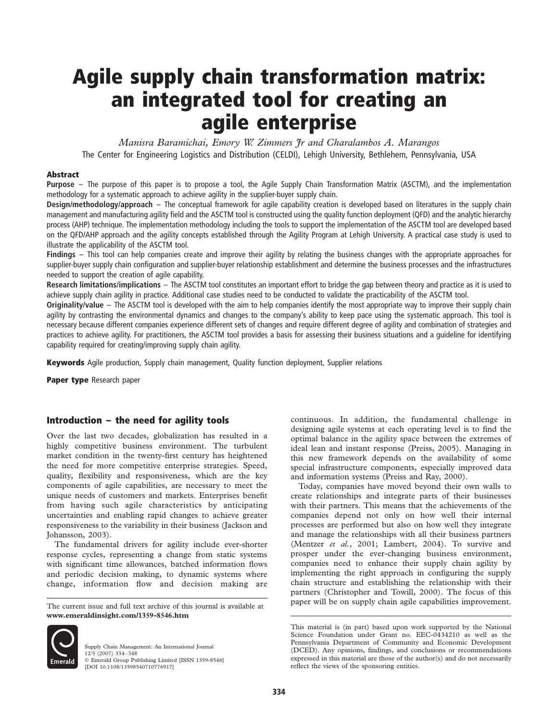# Agile supply chain transformation matrix: an integrated tool for creating an agile enterprise

Manisra Baramichai, Emory W. Zimmers Jr and Charalambos A. Marangos The Center for Engineering Logistics and Distribution (CELDI), Lehigh University, Bethlehem, Pennsylvania, USA

#### Abstract

Purpose – The purpose of this paper is to propose a tool, the Agile Supply Chain Transformation Matrix (ASCTM), and the implementation methodology for a systematic approach to achieve agility in the supplier-buyer supply chain.

Design/methodology/approach – The conceptual framework for agile capability creation is developed based on literatures in the supply chain management and manufacturing agility field and the ASCTM tool is constructed using the quality function deployment (QFD) and the analytic hierarchy process (AHP) technique. The implementation methodology including the tools to support the implementation of the ASCTM tool are developed based on the QFD/AHP approach and the agility concepts established through the Agility Program at Lehigh University. A practical case study is used to illustrate the applicability of the ASCTM tool.

Findings – This tool can help companies create and improve their agility by relating the business changes with the appropriate approaches for supplier-buyer supply chain configuration and supplier-buyer relationship establishment and determine the business processes and the infrastructures needed to support the creation of agile capability.

Research limitations/implications – The ASCTM tool constitutes an important effort to bridge the gap between theory and practice as it is used to achieve supply chain agility in practice. Additional case studies need to be conducted to validate the practicability of the ASCTM tool.

Originality/value – The ASCTM tool is developed with the aim to help companies identify the most appropriate way to improve their supply chain agility by contrasting the environmental dynamics and changes to the company's ability to keep pace using the systematic approach. This tool is necessary because different companies experience different sets of changes and require different degree of agility and combination of strategies and practices to achieve agility. For practitioners, the ASCTM tool provides a basis for assessing their business situations and a guideline for identifying capability required for creating/improving supply chain agility.

Keywords Agile production, Supply chain management, Quality function deployment, Supplier relations

Paper type Research paper

# Introduction – the need for agility tools

Over the last two decades, globalization has resulted in a highly competitive business environment. The turbulent market condition in the twenty-first century has heightened the need for more competitive enterprise strategies. Speed, quality, flexibility and responsiveness, which are the key components of agile capabilities, are necessary to meet the unique needs of customers and markets. Enterprises benefit from having such agile characteristics by anticipating uncertainties and enabling rapid changes to achieve greater responsiveness to the variability in their business (Jackson and Johansson, 2003).

The fundamental drivers for agility include ever-shorter response cycles, representing a change from static systems with significant time allowances, batched information flows and periodic decision making, to dynamic systems where change, information flow and decision making are

www.emeraldinsight.com/1359-8546.htm



Supply Chain Management: An International Journal 12/5 (2007) 334–348  $©$  Emerald Group Publishing Limited [ISSN 1359-8546] [DOI 10.1108/13598540710776917]

continuous. In addition, the fundamental challenge in designing agile systems at each operating level is to find the optimal balance in the agility space between the extremes of ideal lean and instant response (Preiss, 2005). Managing in this new framework depends on the availability of some special infrastructure components, especially improved data and information systems (Preiss and Ray, 2000).

Today, companies have moved beyond their own walls to create relationships and integrate parts of their businesses with their partners. This means that the achievements of the companies depend not only on how well their internal processes are performed but also on how well they integrate and manage the relationships with all their business partners (Mentzer et al., 2001; Lambert, 2004). To survive and prosper under the ever-changing business environment, companies need to enhance their supply chain agility by implementing the right approach in configuring the supply chain structure and establishing the relationship with their partners (Christopher and Towill, 2000). The focus of this The current issue and full text archive of this journal is available at paper will be on supply chain agile capabilities improvement.

This material is (in part) based upon work supported by the National Science Foundation under Grant no. EEC-0434210 as well as the Pennsylvania Department of Community and Economic Development (DCED). Any opinions, findings, and conclusions or recommendations expressed in this material are those of the author(s) and do not necessarily reflect the views of the sponsoring entities.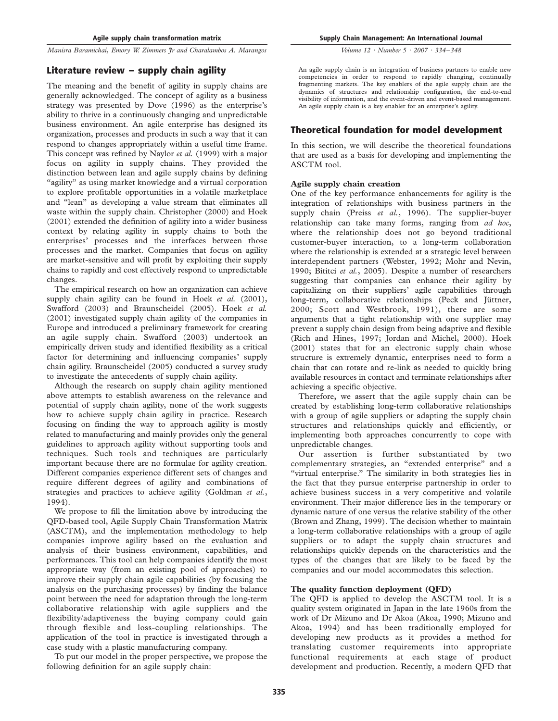# Literature review – supply chain agility

The meaning and the benefit of agility in supply chains are generally acknowledged. The concept of agility as a business strategy was presented by Dove (1996) as the enterprise's ability to thrive in a continuously changing and unpredictable business environment. An agile enterprise has designed its organization, processes and products in such a way that it can respond to changes appropriately within a useful time frame. This concept was refined by Naylor et al. (1999) with a major focus on agility in supply chains. They provided the distinction between lean and agile supply chains by defining "agility" as using market knowledge and a virtual corporation to explore profitable opportunities in a volatile marketplace and "lean" as developing a value stream that eliminates all waste within the supply chain. Christopher (2000) and Hoek (2001) extended the definition of agility into a wider business context by relating agility in supply chains to both the enterprises' processes and the interfaces between those processes and the market. Companies that focus on agility are market-sensitive and will profit by exploiting their supply chains to rapidly and cost effectively respond to unpredictable changes.

The empirical research on how an organization can achieve supply chain agility can be found in Hoek et al.  $(2001)$ , Swafford (2003) and Braunscheidel (2005). Hoek et al. (2001) investigated supply chain agility of the companies in Europe and introduced a preliminary framework for creating an agile supply chain. Swafford (2003) undertook an empirically driven study and identified flexibility as a critical factor for determining and influencing companies' supply chain agility. Braunscheidel (2005) conducted a survey study to investigate the antecedents of supply chain agility.

Although the research on supply chain agility mentioned above attempts to establish awareness on the relevance and potential of supply chain agility, none of the work suggests how to achieve supply chain agility in practice. Research focusing on finding the way to approach agility is mostly related to manufacturing and mainly provides only the general guidelines to approach agility without supporting tools and techniques. Such tools and techniques are particularly important because there are no formulae for agility creation. Different companies experience different sets of changes and require different degrees of agility and combinations of strategies and practices to achieve agility (Goldman et al., 1994).

We propose to fill the limitation above by introducing the QFD-based tool, Agile Supply Chain Transformation Matrix (ASCTM), and the implementation methodology to help companies improve agility based on the evaluation and analysis of their business environment, capabilities, and performances. This tool can help companies identify the most appropriate way (from an existing pool of approaches) to improve their supply chain agile capabilities (by focusing the analysis on the purchasing processes) by finding the balance point between the need for adaptation through the long-term collaborative relationship with agile suppliers and the flexibility/adaptiveness the buying company could gain through flexible and loss-coupling relationships. The application of the tool in practice is investigated through a case study with a plastic manufacturing company.

To put our model in the proper perspective, we propose the following definition for an agile supply chain:

Supply Chain Management: An International Journal

Volume 12 · Number 5 · 2007 · 334–348

An agile supply chain is an integration of business partners to enable new competencies in order to respond to rapidly changing, continually fragmenting markets. The key enablers of the agile supply chain are the dynamics of structures and relationship configuration, the end-to-end visibility of information, and the event-driven and event-based management. An agile supply chain is a key enabler for an enterprise's agility.

# Theoretical foundation for model development

In this section, we will describe the theoretical foundations that are used as a basis for developing and implementing the ASCTM tool.

## Agile supply chain creation

One of the key performance enhancements for agility is the integration of relationships with business partners in the supply chain (Preiss et al., 1996). The supplier-buyer relationship can take many forms, ranging from ad hoc, where the relationship does not go beyond traditional customer-buyer interaction, to a long-term collaboration where the relationship is extended at a strategic level between interdependent partners (Webster, 1992; Mohr and Nevin, 1990; Bititci et al., 2005). Despite a number of researchers suggesting that companies can enhance their agility by capitalizing on their suppliers' agile capabilities through long-term, collaborative relationships (Peck and Jüttner, 2000; Scott and Westbrook, 1991), there are some arguments that a tight relationship with one supplier may prevent a supply chain design from being adaptive and flexible (Rich and Hines, 1997; Jordan and Michel, 2000). Hoek (2001) states that for an electronic supply chain whose structure is extremely dynamic, enterprises need to form a chain that can rotate and re-link as needed to quickly bring available resources in contact and terminate relationships after achieving a specific objective.

Therefore, we assert that the agile supply chain can be created by establishing long-term collaborative relationships with a group of agile suppliers or adapting the supply chain structures and relationships quickly and efficiently, or implementing both approaches concurrently to cope with unpredictable changes.

Our assertion is further substantiated by two complementary strategies, an "extended enterprise" and a "virtual enterprise." The similarity in both strategies lies in the fact that they pursue enterprise partnership in order to achieve business success in a very competitive and volatile environment. Their major difference lies in the temporary or dynamic nature of one versus the relative stability of the other (Brown and Zhang, 1999). The decision whether to maintain a long-term collaborative relationships with a group of agile suppliers or to adapt the supply chain structures and relationships quickly depends on the characteristics and the types of the changes that are likely to be faced by the companies and our model accommodates this selection.

## The quality function deployment (QFD)

The QFD is applied to develop the ASCTM tool. It is a quality system originated in Japan in the late 1960s from the work of Dr Mizuno and Dr Akoa (Akoa, 1990; Mizuno and Akoa, 1994) and has been traditionally employed for developing new products as it provides a method for translating customer requirements into appropriate functional requirements at each stage of product development and production. Recently, a modern QFD that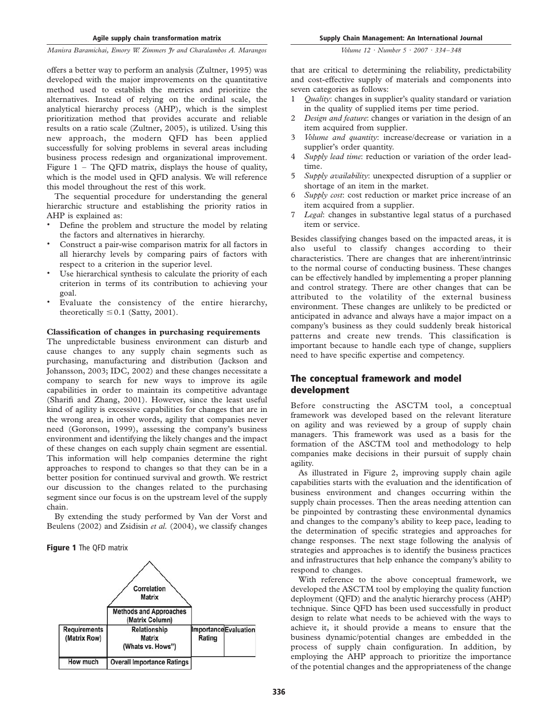offers a better way to perform an analysis (Zultner, 1995) was developed with the major improvements on the quantitative method used to establish the metrics and prioritize the alternatives. Instead of relying on the ordinal scale, the analytical hierarchy process (AHP), which is the simplest prioritization method that provides accurate and reliable results on a ratio scale (Zultner, 2005), is utilized. Using this new approach, the modern QFD has been applied successfully for solving problems in several areas including business process redesign and organizational improvement. Figure  $1$  – The QFD matrix, displays the house of quality, which is the model used in QFD analysis. We will reference this model throughout the rest of this work.

The sequential procedure for understanding the general hierarchic structure and establishing the priority ratios in AHP is explained as:

- . Define the problem and structure the model by relating the factors and alternatives in hierarchy.
- . Construct a pair-wise comparison matrix for all factors in all hierarchy levels by comparing pairs of factors with respect to a criterion in the superior level.
- . Use hierarchical synthesis to calculate the priority of each criterion in terms of its contribution to achieving your goal.
- . Evaluate the consistency of the entire hierarchy, theoretically  $\leq 0.1$  (Satty, 2001).

#### Classification of changes in purchasing requirements

The unpredictable business environment can disturb and cause changes to any supply chain segments such as purchasing, manufacturing and distribution (Jackson and Johansson, 2003; IDC, 2002) and these changes necessitate a company to search for new ways to improve its agile capabilities in order to maintain its competitive advantage (Sharifi and Zhang, 2001). However, since the least useful kind of agility is excessive capabilities for changes that are in the wrong area, in other words, agility that companies never need (Goronson, 1999), assessing the company's business environment and identifying the likely changes and the impact of these changes on each supply chain segment are essential. This information will help companies determine the right approaches to respond to changes so that they can be in a better position for continued survival and growth. We restrict our discussion to the changes related to the purchasing segment since our focus is on the upstream level of the supply chain.

By extending the study performed by Van der Vorst and Beulens (2002) and Zsidisin et al. (2004), we classify changes

Figure 1 The QFD matrix



that are critical to determining the reliability, predictability and cost-effective supply of materials and components into seven categories as follows:

- 1 *Quality*: changes in supplier's quality standard or variation in the quality of supplied items per time period.
- 2 Design and feature: changes or variation in the design of an item acquired from supplier.
- 3 Volume and quantity: increase/decrease or variation in a supplier's order quantity.
- 4 Supply lead time: reduction or variation of the order leadtime.
- 5 Supply availability: unexpected disruption of a supplier or shortage of an item in the market.
- 6 Supply cost: cost reduction or market price increase of an item acquired from a supplier.
- 7 Legal: changes in substantive legal status of a purchased item or service.

Besides classifying changes based on the impacted areas, it is also useful to classify changes according to their characteristics. There are changes that are inherent/intrinsic to the normal course of conducting business. These changes can be effectively handled by implementing a proper planning and control strategy. There are other changes that can be attributed to the volatility of the external business environment. These changes are unlikely to be predicted or anticipated in advance and always have a major impact on a company's business as they could suddenly break historical patterns and create new trends. This classification is important because to handle each type of change, suppliers need to have specific expertise and competency.

# The conceptual framework and model development

Before constructing the ASCTM tool, a conceptual framework was developed based on the relevant literature on agility and was reviewed by a group of supply chain managers. This framework was used as a basis for the formation of the ASCTM tool and methodology to help companies make decisions in their pursuit of supply chain agility.

As illustrated in Figure 2, improving supply chain agile capabilities starts with the evaluation and the identification of business environment and changes occurring within the supply chain processes. Then the areas needing attention can be pinpointed by contrasting these environmental dynamics and changes to the company's ability to keep pace, leading to the determination of specific strategies and approaches for change responses. The next stage following the analysis of strategies and approaches is to identify the business practices and infrastructures that help enhance the company's ability to respond to changes.

With reference to the above conceptual framework, we developed the ASCTM tool by employing the quality function deployment (QFD) and the analytic hierarchy process (AHP) technique. Since QFD has been used successfully in product design to relate what needs to be achieved with the ways to achieve it, it should provide a means to ensure that the business dynamic/potential changes are embedded in the process of supply chain configuration. In addition, by employing the AHP approach to prioritize the importance of the potential changes and the appropriateness of the change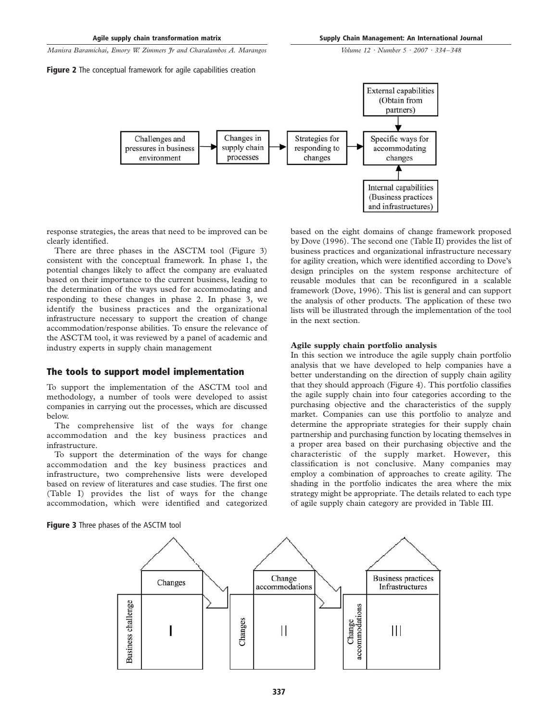Figure 2 The conceptual framework for agile capabilities creation

Volume 12 · Number 5 · 2007 · 334–348



response strategies, the areas that need to be improved can be clearly identified.

There are three phases in the ASCTM tool (Figure 3) consistent with the conceptual framework. In phase 1, the potential changes likely to affect the company are evaluated based on their importance to the current business, leading to the determination of the ways used for accommodating and responding to these changes in phase 2. In phase 3, we identify the business practices and the organizational infrastructure necessary to support the creation of change accommodation/response abilities. To ensure the relevance of the ASCTM tool, it was reviewed by a panel of academic and industry experts in supply chain management

## The tools to support model implementation

To support the implementation of the ASCTM tool and methodology, a number of tools were developed to assist companies in carrying out the processes, which are discussed below.

The comprehensive list of the ways for change accommodation and the key business practices and infrastructure.

To support the determination of the ways for change accommodation and the key business practices and infrastructure, two comprehensive lists were developed based on review of literatures and case studies. The first one (Table I) provides the list of ways for the change accommodation, which were identified and categorized based on the eight domains of change framework proposed by Dove (1996). The second one (Table II) provides the list of business practices and organizational infrastructure necessary for agility creation, which were identified according to Dove's design principles on the system response architecture of reusable modules that can be reconfigured in a scalable framework (Dove, 1996). This list is general and can support the analysis of other products. The application of these two lists will be illustrated through the implementation of the tool in the next section.

#### Agile supply chain portfolio analysis

In this section we introduce the agile supply chain portfolio analysis that we have developed to help companies have a better understanding on the direction of supply chain agility that they should approach (Figure 4). This portfolio classifies the agile supply chain into four categories according to the purchasing objective and the characteristics of the supply market. Companies can use this portfolio to analyze and determine the appropriate strategies for their supply chain partnership and purchasing function by locating themselves in a proper area based on their purchasing objective and the characteristic of the supply market. However, this classification is not conclusive. Many companies may employ a combination of approaches to create agility. The shading in the portfolio indicates the area where the mix strategy might be appropriate. The details related to each type of agile supply chain category are provided in Table III.



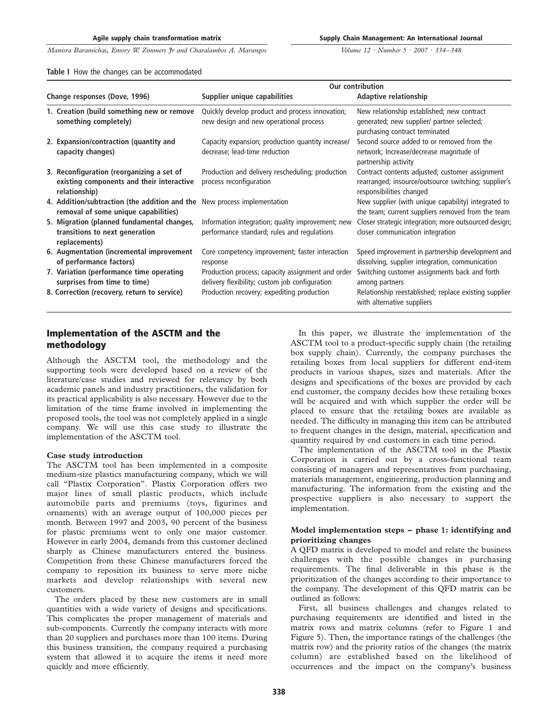Supply Chain Management: An International Journal

Volume 12 · Number 5 · 2007 · 334–348

|  |  |  |  |  | Table I How the changes can be accommodated |
|--|--|--|--|--|---------------------------------------------|
|--|--|--|--|--|---------------------------------------------|

|                                                                                                                  |                                                                                                     | Our contribution                                                                                                                    |  |  |
|------------------------------------------------------------------------------------------------------------------|-----------------------------------------------------------------------------------------------------|-------------------------------------------------------------------------------------------------------------------------------------|--|--|
| Change responses (Dove, 1996)                                                                                    | Supplier unique capabilities                                                                        | Adaptive relationship                                                                                                               |  |  |
| 1. Creation (build something new or remove<br>something completely)                                              | Quickly develop product and process innovation;<br>new design and new operational process           | New relationship established; new contract<br>generated; new supplier/ partner selected;<br>purchasing contract terminated          |  |  |
| 2. Expansion/contraction (quantity and<br>capacity changes)                                                      | Capacity expansion; production quantity increase/<br>decrease; lead-time reduction                  | Second source added to or removed from the<br>network; Increase/decrease magnitude of<br>partnership activity                       |  |  |
| 3. Reconfiguration (reorganizing a set of<br>existing components and their interactive<br>relationship)          | Production and delivery rescheduling; production<br>process reconfiguration                         | Contract contents adjusted; customer assignment<br>rearranged; insource/outsource switching; supplier's<br>responsibilities changed |  |  |
| 4. Addition/subtraction (the addition and the New process implementation<br>removal of some unique capabilities) |                                                                                                     | New supplier (with unique capability) integrated to<br>the team; current suppliers removed from the team                            |  |  |
| 5. Migration (planned fundamental changes,<br>transitions to next generation<br>replacements)                    | Information integration; quality improvement; new<br>performance standard; rules and regulations    | Closer strategic integration; more outsourced design;<br>closer communication integration                                           |  |  |
| 6. Augmentation (incremental improvement<br>of performance factors)                                              | Core competency improvement; faster interaction<br>response                                         | Speed improvement in partnership development and<br>dissolving, supplier integration, communication                                 |  |  |
| 7. Variation (performance time operating<br>surprises from time to time)                                         | Production process; capacity assignment and order<br>delivery flexibility; custom job configuration | Switching customer assignments back and forth<br>among partners                                                                     |  |  |
| 8. Correction (recovery, return to service)                                                                      | Production recovery; expediting production                                                          | Relationship reestablished; replace existing supplier<br>with alternative suppliers                                                 |  |  |

# Implementation of the ASCTM and the methodology

Although the ASCTM tool, the methodology and the supporting tools were developed based on a review of the literature/case studies and reviewed for relevancy by both academic panels and industry practitioners, the validation for its practical applicability is also necessary. However due to the limitation of the time frame involved in implementing the proposed tools, the tool was not completely applied in a single company. We will use this case study to illustrate the implementation of the ASCTM tool.

### Case study introduction

The ASCTM tool has been implemented in a composite medium-size plastics manufacturing company, which we will call "Plastix Corporation". Plastix Corporation offers two major lines of small plastic products, which include automobile parts and premiums (toys, figurines and ornaments) with an average output of 100,000 pieces per month. Between 1997 and 2003, 90 percent of the business for plastic premiums went to only one major customer. However in early 2004, demands from this customer declined sharply as Chinese manufacturers entered the business. Competition from these Chinese manufacturers forced the company to reposition its business to serve more niche markets and develop relationships with several new customers.

The orders placed by these new customers are in small quantities with a wide variety of designs and specifications. This complicates the proper management of materials and sub-components. Currently the company interacts with more than 20 suppliers and purchases more than 100 items. During this business transition, the company required a purchasing system that allowed it to acquire the items it need more quickly and more efficiently.

In this paper, we illustrate the implementation of the ASCTM tool to a product-specific supply chain (the retailing box supply chain). Currently, the company purchases the retailing boxes from local suppliers for different end-item products in various shapes, sizes and materials. After the designs and specifications of the boxes are provided by each end customer, the company decides how these retailing boxes will be acquired and with which supplier the order will be placed to ensure that the retailing boxes are available as needed. The difficulty in managing this item can be attributed to frequent changes in the design, material, specification and quantity required by end customers in each time period.

The implementation of the ASCTM tool in the Plastix Corporation is carried out by a cross-functional team consisting of managers and representatives from purchasing, materials management, engineering, production planning and manufacturing. The information from the existing and the prospective suppliers is also necessary to support the implementation.

### Model implementation steps – phase 1: identifying and prioritizing changes

A QFD matrix is developed to model and relate the business challenges with the possible changes in purchasing requirements. The final deliverable in this phase is the prioritization of the changes according to their importance to the company. The development of this QFD matrix can be outlined as follows:

First, all business challenges and changes related to purchasing requirements are identified and listed in the matrix rows and matrix columns (refer to Figure 1 and Figure 5). Then, the importance ratings of the challenges (the matrix row) and the priority ratios of the changes (the matrix column) are established based on the likelihood of occurrences and the impact on the company's business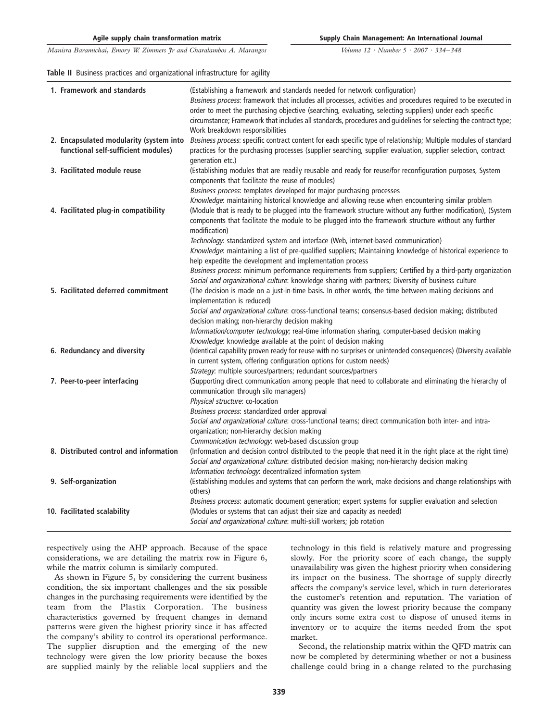Volume 12 · Number 5 · 2007 · 334–348

#### Table II Business practices and organizational infrastructure for agility

| 1. Framework and standards              | (Establishing a framework and standards needed for network configuration)                                                                                                         |
|-----------------------------------------|-----------------------------------------------------------------------------------------------------------------------------------------------------------------------------------|
|                                         | Business process: framework that includes all processes, activities and procedures required to be executed in                                                                     |
|                                         | order to meet the purchasing objective (searching, evaluating, selecting suppliers) under each specific                                                                           |
|                                         | circumstance; Framework that includes all standards, procedures and guidelines for selecting the contract type;                                                                   |
| 2. Encapsulated modularity (system into | Work breakdown responsibilities<br>Business process: specific contract content for each specific type of relationship; Multiple modules of standard                               |
| functional self-sufficient modules)     | practices for the purchasing processes (supplier searching, supplier evaluation, supplier selection, contract                                                                     |
|                                         | generation etc.)                                                                                                                                                                  |
| 3. Facilitated module reuse             | (Establishing modules that are readily reusable and ready for reuse/for reconfiguration purposes, System                                                                          |
|                                         | components that facilitate the reuse of modules)                                                                                                                                  |
|                                         | Business process: templates developed for major purchasing processes                                                                                                              |
|                                         | Knowledge: maintaining historical knowledge and allowing reuse when encountering similar problem                                                                                  |
| 4. Facilitated plug-in compatibility    | (Module that is ready to be plugged into the framework structure without any further modification), (System                                                                       |
|                                         | components that facilitate the module to be plugged into the framework structure without any further<br>modification)                                                             |
|                                         | Technology: standardized system and interface (Web, internet-based communication)                                                                                                 |
|                                         | Knowledge: maintaining a list of pre-qualified suppliers; Maintaining knowledge of historical experience to                                                                       |
|                                         | help expedite the development and implementation process                                                                                                                          |
|                                         | Business process: minimum performance requirements from suppliers; Certified by a third-party organization                                                                        |
|                                         | Social and organizational culture: knowledge sharing with partners; Diversity of business culture                                                                                 |
| 5. Facilitated deferred commitment      | (The decision is made on a just-in-time basis. In other words, the time between making decisions and<br>implementation is reduced)                                                |
|                                         | Social and organizational culture: cross-functional teams; consensus-based decision making; distributed                                                                           |
|                                         | decision making; non-hierarchy decision making                                                                                                                                    |
|                                         | Information/computer technology; real-time information sharing, computer-based decision making                                                                                    |
|                                         | Knowledge: knowledge available at the point of decision making<br>(Identical capability proven ready for reuse with no surprises or unintended consequences) (Diversity available |
| 6. Redundancy and diversity             | in current system, offering configuration options for custom needs)                                                                                                               |
|                                         | Strategy: multiple sources/partners; redundant sources/partners                                                                                                                   |
| 7. Peer-to-peer interfacing             | (Supporting direct communication among people that need to collaborate and eliminating the hierarchy of                                                                           |
|                                         | communication through silo managers)                                                                                                                                              |
|                                         | Physical structure: co-location                                                                                                                                                   |
|                                         | Business process: standardized order approval                                                                                                                                     |
|                                         | Social and organizational culture: cross-functional teams; direct communication both inter- and intra-                                                                            |
|                                         | organization; non-hierarchy decision making                                                                                                                                       |
|                                         | Communication technology: web-based discussion group                                                                                                                              |
| 8. Distributed control and information  | (Information and decision control distributed to the people that need it in the right place at the right time)                                                                    |
|                                         | Social and organizational culture: distributed decision making; non-hierarchy decision making                                                                                     |
|                                         | Information technology: decentralized information system                                                                                                                          |
| 9. Self-organization                    | (Establishing modules and systems that can perform the work, make decisions and change relationships with<br>others)                                                              |
|                                         | Business process: automatic document generation; expert systems for supplier evaluation and selection                                                                             |
| 10. Facilitated scalability             | (Modules or systems that can adjust their size and capacity as needed)                                                                                                            |
|                                         | Social and organizational culture: multi-skill workers; job rotation                                                                                                              |

respectively using the AHP approach. Because of the space considerations, we are detailing the matrix row in Figure 6, while the matrix column is similarly computed.

As shown in Figure 5, by considering the current business condition, the six important challenges and the six possible changes in the purchasing requirements were identified by the team from the Plastix Corporation. The business characteristics governed by frequent changes in demand patterns were given the highest priority since it has affected the company's ability to control its operational performance. The supplier disruption and the emerging of the new technology were given the low priority because the boxes are supplied mainly by the reliable local suppliers and the technology in this field is relatively mature and progressing slowly. For the priority score of each change, the supply unavailability was given the highest priority when considering its impact on the business. The shortage of supply directly affects the company's service level, which in turn deteriorates the customer's retention and reputation. The variation of quantity was given the lowest priority because the company only incurs some extra cost to dispose of unused items in inventory or to acquire the items needed from the spot market.

Second, the relationship matrix within the QFD matrix can now be completed by determining whether or not a business challenge could bring in a change related to the purchasing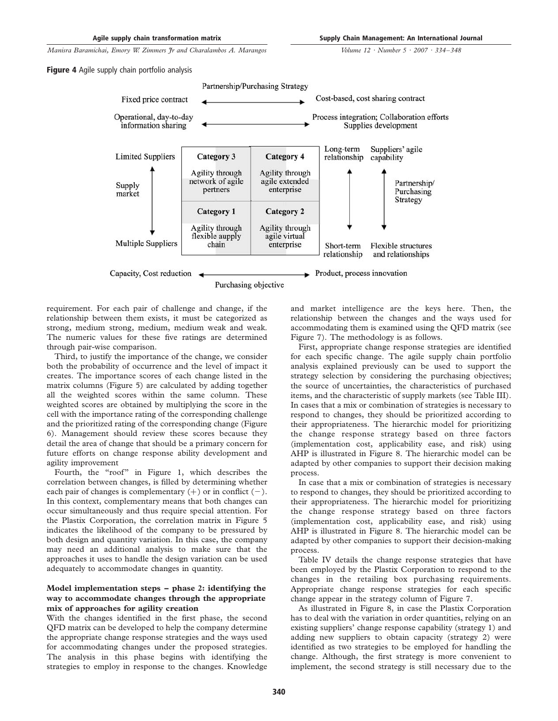Agile supply chain transformation matrix

Supply Chain Management: An International Journal Volume 12 · Number 5 · 2007 · 334–348

Manisra Baramichai, Emory W. Zimmers Jr and Charalambos A. Marangos

Figure 4 Agile supply chain portfolio analysis



requirement. For each pair of challenge and change, if the relationship between them exists, it must be categorized as strong, medium strong, medium, medium weak and weak. The numeric values for these five ratings are determined through pair-wise comparison.

Third, to justify the importance of the change, we consider both the probability of occurrence and the level of impact it creates. The importance scores of each change listed in the matrix columns (Figure 5) are calculated by adding together all the weighted scores within the same column. These weighted scores are obtained by multiplying the score in the cell with the importance rating of the corresponding challenge and the prioritized rating of the corresponding change (Figure 6). Management should review these scores because they detail the area of change that should be a primary concern for future efforts on change response ability development and agility improvement

Fourth, the "roof" in Figure 1, which describes the correlation between changes, is filled by determining whether each pair of changes is complementary  $(+)$  or in conflict  $(-)$ . In this context, complementary means that both changes can occur simultaneously and thus require special attention. For the Plastix Corporation, the correlation matrix in Figure 5 indicates the likelihood of the company to be pressured by both design and quantity variation. In this case, the company may need an additional analysis to make sure that the approaches it uses to handle the design variation can be used adequately to accommodate changes in quantity.

## Model implementation steps – phase 2: identifying the way to accommodate changes through the appropriate mix of approaches for agility creation

With the changes identified in the first phase, the second QFD matrix can be developed to help the company determine the appropriate change response strategies and the ways used for accommodating changes under the proposed strategies. The analysis in this phase begins with identifying the strategies to employ in response to the changes. Knowledge and market intelligence are the keys here. Then, the relationship between the changes and the ways used for accommodating them is examined using the QFD matrix (see Figure 7). The methodology is as follows.

First, appropriate change response strategies are identified for each specific change. The agile supply chain portfolio analysis explained previously can be used to support the strategy selection by considering the purchasing objectives; the source of uncertainties, the characteristics of purchased items, and the characteristic of supply markets (see Table III). In cases that a mix or combination of strategies is necessary to respond to changes, they should be prioritized according to their appropriateness. The hierarchic model for prioritizing the change response strategy based on three factors (implementation cost, applicability ease, and risk) using AHP is illustrated in Figure 8. The hierarchic model can be adapted by other companies to support their decision making process.

In case that a mix or combination of strategies is necessary to respond to changes, they should be prioritized according to their appropriateness. The hierarchic model for prioritizing the change response strategy based on three factors (implementation cost, applicability ease, and risk) using AHP is illustrated in Figure 8. The hierarchic model can be adapted by other companies to support their decision-making process.

Table IV details the change response strategies that have been employed by the Plastix Corporation to respond to the changes in the retailing box purchasing requirements. Appropriate change response strategies for each specific change appear in the strategy column of Figure 7.

As illustrated in Figure 8, in case the Plastix Corporation has to deal with the variation in order quantities, relying on an existing suppliers' change response capability (strategy 1) and adding new suppliers to obtain capacity (strategy 2) were identified as two strategies to be employed for handling the change. Although, the first strategy is more convenient to implement, the second strategy is still necessary due to the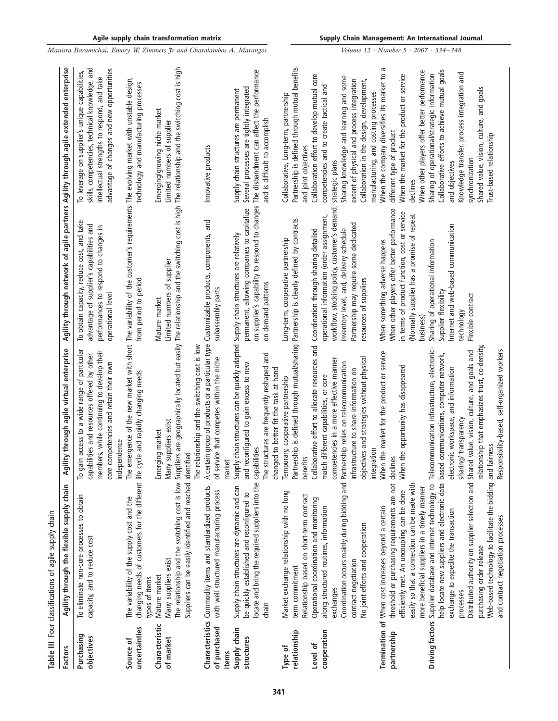|                             | Table III Four classifications of agile supply chain                                                                                                                                                                                                                                                                                                                                                                                                                                        |                                                                                                                                                                                                                                           |                                                                                                                                                                                                                                                     |                                                                                                                                                                                                                                                                                                          |
|-----------------------------|---------------------------------------------------------------------------------------------------------------------------------------------------------------------------------------------------------------------------------------------------------------------------------------------------------------------------------------------------------------------------------------------------------------------------------------------------------------------------------------------|-------------------------------------------------------------------------------------------------------------------------------------------------------------------------------------------------------------------------------------------|-----------------------------------------------------------------------------------------------------------------------------------------------------------------------------------------------------------------------------------------------------|----------------------------------------------------------------------------------------------------------------------------------------------------------------------------------------------------------------------------------------------------------------------------------------------------------|
| <b>Factors</b>              | Agility through the flexible supply chain                                                                                                                                                                                                                                                                                                                                                                                                                                                   | gility through agile virtual enterprise<br>٩                                                                                                                                                                                              | Agility through network of agile partners Agility through agile extended enterprise                                                                                                                                                                 |                                                                                                                                                                                                                                                                                                          |
| Purchasing<br>objectives    | To eliminate non-core processes to obtain<br>capacity, and to reduce cost                                                                                                                                                                                                                                                                                                                                                                                                                   | gain access to a wide range of particular<br>members, while continuing to develop their<br>capabilities and resources offered by other<br>core competencies and retain their own<br>independence<br>익                                     | To obtain capacity, reduce cost, and take<br>advantage of supplier's capabilities and<br>performances to respond to changes in<br>operational level                                                                                                 | skills, competencies, technical knowledge, and<br>advantage of changes and new opportunities<br>To leverage on supplier's unique capabilities,<br>intellectual strengths to respond, and take                                                                                                            |
| uncertainties<br>Source of  | changing needs of customers for the different life cycle and rapidly changing needs<br>The variability of the supply cost and the<br>types of items                                                                                                                                                                                                                                                                                                                                         | The emergence of the new market with short The variability of the customer's requirements The evolving market with unstable design,                                                                                                       | from period to period                                                                                                                                                                                                                               | technology and manufacturing processes                                                                                                                                                                                                                                                                   |
| Characteristic<br>of market | Suppliers can be easily identified and reached identified<br>Many suppliers exist<br>Mature market                                                                                                                                                                                                                                                                                                                                                                                          | The relationship and the switching cost is low Suppliers are geographically located but easily The relationship and the switching cost is high The relationship and the switching cost is high<br>Many suppliers exist<br>Emerging market | Limited numbers of supplier<br>Mature market                                                                                                                                                                                                        | Emerging/growing niche market<br>Limited numbers of supplier                                                                                                                                                                                                                                             |
| of purchased<br>items       | Characteristics Commodity items and standardized products<br>with well structured manufacturing process                                                                                                                                                                                                                                                                                                                                                                                     | A certain group of products or a particular type Customizable products, components, and<br>The relationship and the switching cost is low<br>of service that competes within the niche<br>market                                          | subassembly parts                                                                                                                                                                                                                                   | Innovative products                                                                                                                                                                                                                                                                                      |
| Supply chain<br>structures  | locate and bring the required suppliers into the capabilities<br>Supply chain structures are dynamic and can<br>be quickly established and reconfigured to<br>chain                                                                                                                                                                                                                                                                                                                         | Supply chain structures can be quickly adapted Supply chain structures are relatively<br>The structures are frequently reshaped and<br>and reconfigured to gain excess to new<br>changed to better fit the task at hand                   | on supplier's capability to respond to changes<br>permanent, allowing companies to capitalize<br>on demand patterns                                                                                                                                 | The disbandment can affect the performance<br>Several processes are tightly integrated<br>Supply chain structures are permanent<br>and is difficult to accomplish                                                                                                                                        |
| relationship<br>Type of     | Market exchange relationship with no long<br>Relationship based on short-term contract<br>term commitment                                                                                                                                                                                                                                                                                                                                                                                   | Partnership is defined through mutual/sharing Partnership is clearly defined by contracts<br>Temporary, cooperative partnership<br>benefits                                                                                               | Long-term, cooperative partnership                                                                                                                                                                                                                  | Partnership is defined through mutual benefits<br>Collaborative, Long-term, partnership<br>and joint objectives                                                                                                                                                                                          |
| cooperation<br>Level of     | Coordination occurs mainly during bidding and Partnership relies on telecommunication<br>Operational coordination and monitoring<br>along structured routines, information<br>No joint efforts and cooperation<br>contract negotiation<br>exchanges                                                                                                                                                                                                                                         | Collaborative effort to allocate resources and<br>objectives and strategies without physical<br>competencies in a more effective manner<br>infrastructure to share information on<br>match different capabilities, or core                | workflow, stocking policy, customer's demand,<br>operational information (order assignment,<br>Partnership may require some dedicated<br>inventory level, and, delivery schedule<br>Coordination through sharing detailed<br>resources of suppliers | Collaboration effort to develop mutual core<br>Sharing knowledge and learning and some<br>extent of physical and process integration<br>Collaboration in the design, development,<br>competencies and to create tactical and<br>strategic plans                                                          |
| partnership                 | threshold or purchasing requirements are not declines<br>easily so that a connection can be made with<br>efficiently met. An uncoupling can be done<br>Termination of When cost increases beyond a certain                                                                                                                                                                                                                                                                                  | When the market for the product or service<br>When the opportunity has disappeared<br>integration                                                                                                                                         | When other players offer better performance<br>in terms of product function, cost or service<br>(Normally supplier has a promise of repeat<br>When something adverse happens                                                                        | Б<br>When the company diversifies its market to<br>When the market for the product or service<br>manufacturing, and costing processes<br>different type of product<br>declines                                                                                                                           |
|                             | Distributed authority on supplier selection and Shared value, vision, culture, and goals and<br>help locate new suppliers and electronic data based communications, computer network,<br>Web-based technology to facilitate the bidding and fairness<br>Driving factors Supplier database and internet technology to<br>more beneficial suppliers in a timely manner<br>exchange to expedite the transaction<br>and contract negotiation processes<br>purchasing order release<br>processes | relationship that emphasizes trust, co-density,<br>Telecommunication infrastructure, electronic-<br>Responsibility-based, self-organized workers<br>electronic workspace, and information<br>sharing/ transparency                        | Internet and web-based communication<br>Sharing of operational information<br>Supplier flexibility<br>Flexible contract<br>technology<br>business)                                                                                                  | Collaborative efforts to achieve mutual goals<br>When other players offer better performance<br>Knowledge transfer, process integration and<br>Sharing of operational/strategic information<br>Shared value, vision, culture, and goals<br>Trust-based relationship<br>synchronization<br>and objectives |

Volume 12 · Number 5 · 2007 · 334–348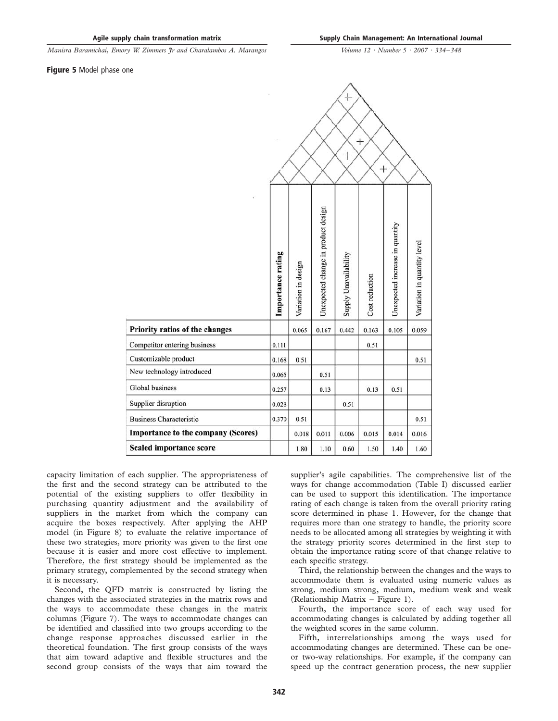Figure 5 Model phase one

|                                    |                   |                     |                                     | t<br>$^{+}$           | $^{+}$         | $^{+}$                          |                             |
|------------------------------------|-------------------|---------------------|-------------------------------------|-----------------------|----------------|---------------------------------|-----------------------------|
|                                    | Importance rating | Variation in design | Unexpected change in product design | Supply Unavailability | Cost reduction | Unexpected increase in quantity | Variation in quantity level |
| Priority ratios of the changes     |                   | 0.065               | 0.167                               | 0.442                 | 0.163          | 0.105                           | 0.059                       |
| Competitor entering business       | 0.111             |                     |                                     |                       | 0.51           |                                 |                             |
| Customizable product               | 0.168             | 0.51                |                                     |                       |                |                                 | 0.51                        |
| New technology introduced          | 0.065             |                     | 0.51                                |                       |                |                                 |                             |
| Global business                    | 0.257             |                     | 0.13                                |                       | 0.13           | 0.51                            |                             |
| Supplier disruption                | 0.028             |                     |                                     | 0.51                  |                |                                 |                             |
| <b>Business Characteristic</b>     | 0.370             | 0.51                |                                     |                       |                |                                 | 0.51                        |
| Importance to the company (Scores) |                   | 0.018               | 0.011                               | 0.006                 | 0.015          | 0.014                           | 0.016                       |
| <b>Scaled importance score</b>     |                   | 1.80                | 1.10                                | 0.60                  | 1.50           | 1.40                            | 1.60                        |

capacity limitation of each supplier. The appropriateness of the first and the second strategy can be attributed to the potential of the existing suppliers to offer flexibility in purchasing quantity adjustment and the availability of suppliers in the market from which the company can acquire the boxes respectively. After applying the AHP model (in Figure 8) to evaluate the relative importance of these two strategies, more priority was given to the first one because it is easier and more cost effective to implement. Therefore, the first strategy should be implemented as the primary strategy, complemented by the second strategy when it is necessary.

Second, the QFD matrix is constructed by listing the changes with the associated strategies in the matrix rows and the ways to accommodate these changes in the matrix columns (Figure 7). The ways to accommodate changes can be identified and classified into two groups according to the change response approaches discussed earlier in the theoretical foundation. The first group consists of the ways that aim toward adaptive and flexible structures and the second group consists of the ways that aim toward the

supplier's agile capabilities. The comprehensive list of the ways for change accommodation (Table I) discussed earlier can be used to support this identification. The importance rating of each change is taken from the overall priority rating score determined in phase 1. However, for the change that requires more than one strategy to handle, the priority score needs to be allocated among all strategies by weighting it with the strategy priority scores determined in the first step to obtain the importance rating score of that change relative to each specific strategy.

Third, the relationship between the changes and the ways to accommodate them is evaluated using numeric values as strong, medium strong, medium, medium weak and weak (Relationship Matrix – Figure 1).

Fourth, the importance score of each way used for accommodating changes is calculated by adding together all the weighted scores in the same column.

Fifth, interrelationships among the ways used for accommodating changes are determined. These can be oneor two-way relationships. For example, if the company can speed up the contract generation process, the new supplier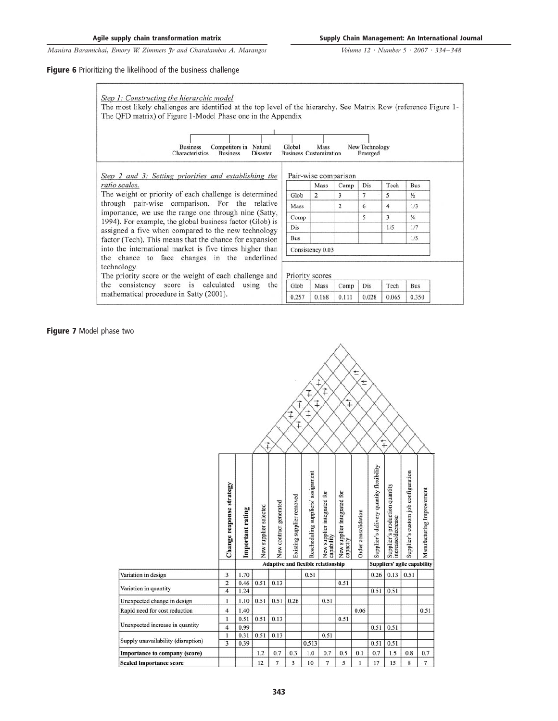#### Figure 6 Prioritizing the likelihood of the business challenge



Glob

0.257

Mass

0.168

Comp

0.111

technology. The priority score or the weight of each challenge and the consistency score is calculated using the mathematical procedure in Satty (2001).

|      | Mass             | Comp           | Dis | Tech | Bus           |
|------|------------------|----------------|-----|------|---------------|
| Glob | 2                | 3              |     | 5    | $\frac{1}{2}$ |
| Mass |                  | $\overline{c}$ | 6   | 4    | 1/3           |
| Comp |                  |                | 5   | 3    | $\frac{1}{4}$ |
| Dis  |                  |                |     | 1/5  | 1/7           |
| Bus  |                  |                |     |      | 1/5           |
|      | Consistency 0.03 |                |     |      |               |

Dis

0.028

Tech

0.065

Bus

0.350

## Figure 7 Model phase two

|                                    |                                  |                  |                       |                        | ⋣                         | ⇉<br>⇉<br>$\ddagger$<br>⇟                 | $\ddagger$                                | $\ddot{+}$                              | $\pm$<br>t          |                                          |                                                     |                                     |                           |
|------------------------------------|----------------------------------|------------------|-----------------------|------------------------|---------------------------|-------------------------------------------|-------------------------------------------|-----------------------------------------|---------------------|------------------------------------------|-----------------------------------------------------|-------------------------------------|---------------------------|
|                                    |                                  |                  |                       |                        |                           |                                           |                                           |                                         |                     |                                          | $+$                                                 |                                     |                           |
|                                    | Change response strategy         | Important rating | New supplier selected | New contract generated | Existing supplier removed | Rescheduling suppliers' assignment        | New supplier integrated for<br>capability | New supplier integrated for<br>capacity | Order consolidation | Supplier's delivery quantity flexibility | Supplier's production quantity<br>increase/decrease | Supplier's custom job configuration | Manufacturing Improvement |
|                                    |                                  |                  |                       |                        |                           | <b>Adaptive and flexible relationship</b> |                                           |                                         |                     |                                          | Suppliers' agile capability                         |                                     |                           |
| Variation in design                | 3                                | 1.70             |                       |                        |                           | 0.51                                      |                                           |                                         |                     | 0.26                                     | 0.13                                                | 0.51                                |                           |
| Variation in quantity              | $\overline{2}$<br>$\overline{4}$ | 0.46<br>1.24     | 0.51                  | 0.13                   |                           |                                           |                                           | 0.51                                    |                     | 0.51                                     | 0.51                                                |                                     |                           |
| Unexpected change in design        | $\mathbf{1}$                     | 1.10             | 0.51                  | 0.51                   | 0.26                      |                                           | 0.51                                      |                                         |                     |                                          |                                                     |                                     |                           |
| Rapid need for cost reduction      | $\overline{4}$                   | 1.40             |                       |                        |                           |                                           |                                           |                                         | 0.06                |                                          |                                                     |                                     | 0.51                      |
|                                    | $\mathbf{1}$                     | 0.51             | 0.51                  | 0.13                   |                           |                                           |                                           | 0.51                                    |                     |                                          |                                                     |                                     |                           |
| Unexpected increase in quantity    | 4                                | 0.99             |                       |                        |                           |                                           |                                           |                                         |                     | 0.51                                     | 0.51                                                |                                     |                           |
|                                    | $\mathbf{1}$                     | 0.31             | 0.51                  | 0.13                   |                           |                                           | 0.51                                      |                                         |                     |                                          |                                                     |                                     |                           |
| Supply unavailability (disruption) | $\overline{\mathbf{3}}$          | 0.39             |                       |                        |                           | 0.513                                     |                                           |                                         |                     | 0.51                                     | 0.51                                                |                                     |                           |
| Importance to company (score)      |                                  |                  | 1.2                   | 0.7                    | 0.3                       | 1.0                                       | 0.7                                       | 0.5                                     | 0.1                 | 0.7                                      | 1.5                                                 | 0.8                                 | 0.7                       |
| <b>Scaled importance score</b>     |                                  |                  | 12                    | $\overline{7}$         | 3                         | 10                                        | 7                                         | 5                                       | 1                   | 17                                       | 15                                                  | 8                                   | 7                         |

## 343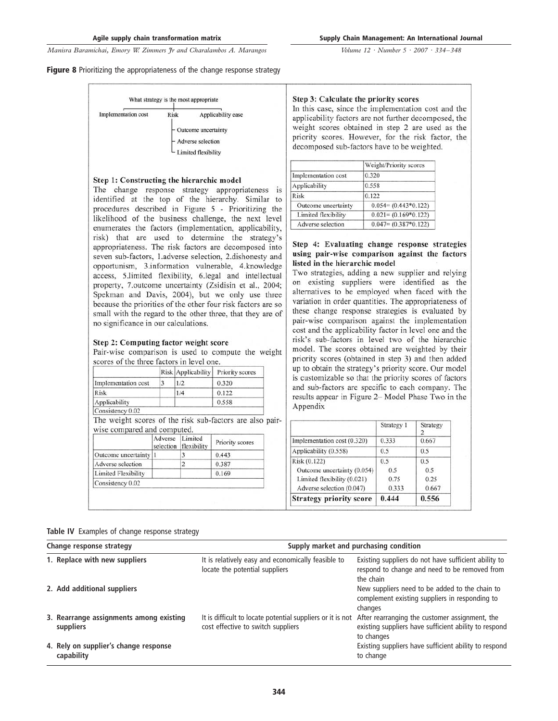Volume 12 · Number 5 · 2007 · 334–348

#### Figure 8 Prioritizing the appropriateness of the change response strategy

| Outcome uncertainty | Implementation cost | Risk | Applicability ease         |
|---------------------|---------------------|------|----------------------------|
|                     |                     |      |                            |
|                     |                     |      |                            |
|                     |                     |      | Adverse selection          |
|                     |                     |      | <b>Limited flexibility</b> |

#### Step 1: Constructing the hierarchic model

The change response strategy appropriateness is identified at the top of the hierarchy. Similar to procedures described in Figure 5 - Prioritizing the likelihood of the business challenge, the next level enumerates the factors (implementation, applicability, risk) that are used to determine the strategy's appropriateness. The risk factors are decomposed into seven sub-factors, 1.adverse selection, 2.dishonesty and opportunism, 3.information vulnerable, 4.knowledge access, 5.limited flexibility, 6.legal and intellectual property, 7.outcome uncertainty (Zsidisin et al., 2004; Spekman and Davis, 2004), but we only use three because the priorities of the other four risk factors are so small with the regard to the other three, that they are of no significance in our calculations.

#### Step 2: Computing factor weight score

Pair-wise comparison is used to compute the weight scores of the three factors in level one.

|                     | Risk Applicability | Priority scores |
|---------------------|--------------------|-----------------|
| Implementation cost | 1/2                | 0.320           |
| <b>Risk</b>         | 1/4                | 0.122           |
| Applicability       |                    | 0.558           |
| Consistency 0.02    |                    |                 |

The weight scores of the risk sub-factors are also pairwise compared and computed.

|                       | Adverse Limited | selection flexibility | Priority scores |
|-----------------------|-----------------|-----------------------|-----------------|
| Outcome uncertainty 1 |                 |                       | 0.443           |
| Adverse selection     |                 |                       | 0.387           |
| Limited Flexibility   |                 |                       | 0.169           |
| Consistency 0.02      |                 |                       |                 |

#### Step 3: Calculate the priority scores

In this case, since the implementation cost and the applicability factors are not further decomposed, the weight scores obtained in step 2 are used as the priority scores. However, for the risk factor, the decomposed sub-factors have to be weighted.

| Weight/Priority scores  |
|-------------------------|
|                         |
|                         |
|                         |
| $0.054 = (0.443*0.122)$ |
| $0.021 = (0.169*0.122)$ |
| $0.047 = (0.387*0.122)$ |
|                         |

## Step 4: Evaluating change response strategies using pair-wise comparison against the factors listed in the hierarchic model

Two strategies, adding a new supplier and relying on existing suppliers were identified as the alternatives to be employed when faced with the variation in order quantities. The appropriateness of these change response strategies is evaluated by pair-wise comparison against the implementation cost and the applicability factor in level one and the risk's sub-factors in level two of the hierarchic model. The scores obtained are weighted by their priority scores (obtained in step 3) and then added up to obtain the strategy's priority score. Our model is customizable so that the priority scores of factors and sub-factors are specific to each company. The results appear in Figure 2- Model Phase Two in the Appendix

|                                | Strategy 1 | Strategy |
|--------------------------------|------------|----------|
| Implementation cost (0.320)    | 0.333      | 0.667    |
| Applicability (0.558)          | 0.5        | 0.5      |
| Risk (0.122)                   | 0.5        | 0.5      |
| Outcome uncertainty (0.054)    | 0.5        | 0.5      |
| Limited flexibility (0.021)    | 0.75       | 0.25     |
| Adverse selection (0.047)      | 0.333      | 0.667    |
| <b>Strategy priority score</b> | 0.444      | 0.556    |

Table IV Examples of change response strategy

| Change response strategy                             | Supply market and purchasing condition                                                           |                                                                                                                       |  |  |  |  |  |  |  |  |  |
|------------------------------------------------------|--------------------------------------------------------------------------------------------------|-----------------------------------------------------------------------------------------------------------------------|--|--|--|--|--|--|--|--|--|
| 1. Replace with new suppliers                        | It is relatively easy and economically feasible to<br>locate the potential suppliers             | Existing suppliers do not have sufficient ability to<br>respond to change and need to be removed from<br>the chain    |  |  |  |  |  |  |  |  |  |
| 2. Add additional suppliers                          |                                                                                                  | New suppliers need to be added to the chain to<br>complement existing suppliers in responding to<br>changes           |  |  |  |  |  |  |  |  |  |
| 3. Rearrange assignments among existing<br>suppliers | It is difficult to locate potential suppliers or it is not<br>cost effective to switch suppliers | After rearranging the customer assignment, the<br>existing suppliers have sufficient ability to respond<br>to changes |  |  |  |  |  |  |  |  |  |
| 4. Rely on supplier's change response<br>capability  |                                                                                                  | Existing suppliers have sufficient ability to respond<br>to change                                                    |  |  |  |  |  |  |  |  |  |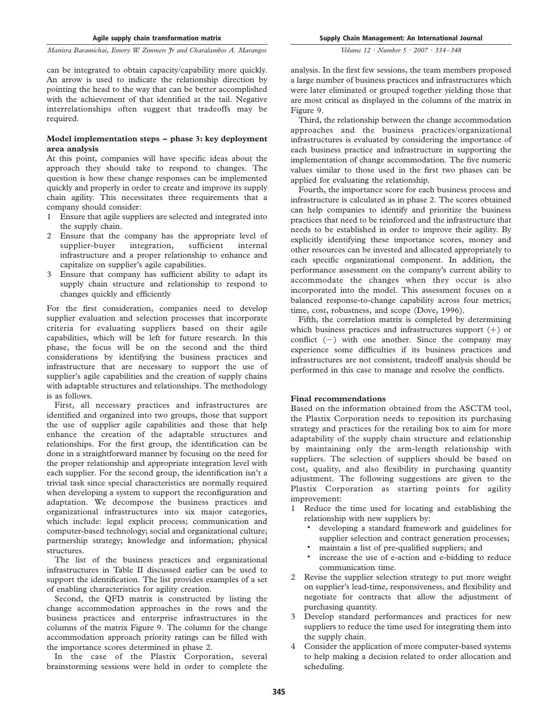#### Agile supply chain transformation matrix

Supply Chain Management: An International Journal

Manisra Baramichai, Emory W. Zimmers Jr and Charalambos A. Marangos

can be integrated to obtain capacity/capability more quickly. An arrow is used to indicate the relationship direction by pointing the head to the way that can be better accomplished with the achievement of that identified at the tail. Negative interrelationships often suggest that tradeoffs may be required.

### Model implementation steps – phase 3: key deployment area analysis

At this point, companies will have specific ideas about the approach they should take to respond to changes. The question is how these change responses can be implemented quickly and properly in order to create and improve its supply chain agility. This necessitates three requirements that a company should consider:

- 1 Ensure that agile suppliers are selected and integrated into the supply chain.
- 2 Ensure that the company has the appropriate level of supplier-buyer integration, sufficient internal infrastructure and a proper relationship to enhance and capitalize on supplier's agile capabilities.
- 3 Ensure that company has sufficient ability to adapt its supply chain structure and relationship to respond to changes quickly and efficiently

For the first consideration, companies need to develop supplier evaluation and selection processes that incorporate criteria for evaluating suppliers based on their agile capabilities, which will be left for future research. In this phase, the focus will be on the second and the third considerations by identifying the business practices and infrastructure that are necessary to support the use of supplier's agile capabilities and the creation of supply chains with adaptable structures and relationships. The methodology is as follows.

First, all necessary practices and infrastructures are identified and organized into two groups, those that support the use of supplier agile capabilities and those that help enhance the creation of the adaptable structures and relationships. For the first group, the identification can be done in a straightforward manner by focusing on the need for the proper relationship and appropriate integration level with each supplier. For the second group, the identification isn't a trivial task since special characteristics are normally required when developing a system to support the reconfiguration and adaptation. We decompose the business practices and organizational infrastructures into six major categories, which include: legal explicit process; communication and computer-based technology; social and organizational culture; partnership strategy; knowledge and information; physical structures.

The list of the business practices and organizational infrastructures in Table II discussed earlier can be used to support the identification. The list provides examples of a set of enabling characteristics for agility creation.

Second, the QFD matrix is constructed by listing the change accommodation approaches in the rows and the business practices and enterprise infrastructures in the columns of the matrix Figure 9. The column for the change accommodation approach priority ratings can be filled with the importance scores determined in phase 2.

In the case of the Plastix Corporation, several brainstorming sessions were held in order to complete the

analysis. In the first few sessions, the team members proposed a large number of business practices and infrastructures which were later eliminated or grouped together yielding those that are most critical as displayed in the columns of the matrix in Figure 9.

Third, the relationship between the change accommodation approaches and the business practices/organizational infrastructures is evaluated by considering the importance of each business practice and infrastructure in supporting the implementation of change accommodation. The five numeric values similar to those used in the first two phases can be applied for evaluating the relationship.

Fourth, the importance score for each business process and infrastructure is calculated as in phase 2. The scores obtained can help companies to identify and prioritize the business practices that need to be reinforced and the infrastructure that needs to be established in order to improve their agility. By explicitly identifying these importance scores, money and other resources can be invested and allocated appropriately to each specific organizational component. In addition, the performance assessment on the company's current ability to accommodate the changes when they occur is also incorporated into the model. This assessment focuses on a balanced response-to-change capability across four metrics; time, cost, robustness, and scope (Dove, 1996).

Fifth, the correlation matrix is completed by determining which business practices and infrastructures support  $(+)$  or conflict  $(-)$  with one another. Since the company may experience some difficulties if its business practices and infrastructures are not consistent, tradeoff analysis should be performed in this case to manage and resolve the conflicts.

## Final recommendations

Based on the information obtained from the ASCTM tool, the Plastix Corporation needs to reposition its purchasing strategy and practices for the retailing box to aim for more adaptability of the supply chain structure and relationship by maintaining only the arm-length relationship with suppliers. The selection of suppliers should be based on cost, quality, and also flexibility in purchasing quantity adjustment. The following suggestions are given to the Plastix Corporation as starting points for agility improvement:

- 1 Reduce the time used for locating and establishing the relationship with new suppliers by:
	- . developing a standard framework and guidelines for supplier selection and contract generation processes;
	- . maintain a list of pre-qualified suppliers; and
	- . increase the use of e-action and e-bidding to reduce communication time.
- 2 Revise the supplier selection strategy to put more weight on supplier's lead-time, responsiveness, and flexibility and negotiate for contracts that allow the adjustment of purchasing quantity.
- 3 Develop standard performances and practices for new suppliers to reduce the time used for integrating them into the supply chain.
- 4 Consider the application of more computer-based systems to help making a decision related to order allocation and scheduling.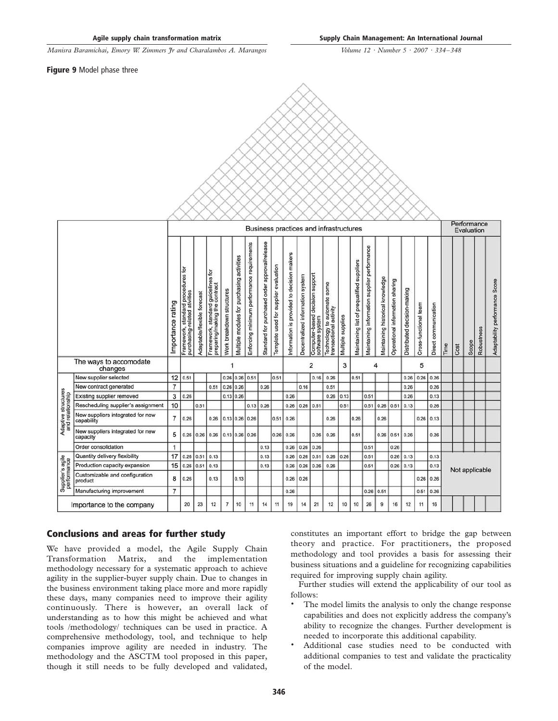Volume 12 · Number 5 · 2007 · 334–348

Figure 9 Model phase three

|                                         |                                                | Business practices and infrastructures |                                                                     |                             |                                                                     |                           |                                            |                                            |                                               |                                       |                                            |                                  |                                                    |                                                       |                   |                                            | Performance<br>Evaluation                    |                                  |                                 |                             |                       |                      |      |                |       |            |                                |  |  |  |
|-----------------------------------------|------------------------------------------------|----------------------------------------|---------------------------------------------------------------------|-----------------------------|---------------------------------------------------------------------|---------------------------|--------------------------------------------|--------------------------------------------|-----------------------------------------------|---------------------------------------|--------------------------------------------|----------------------------------|----------------------------------------------------|-------------------------------------------------------|-------------------|--------------------------------------------|----------------------------------------------|----------------------------------|---------------------------------|-----------------------------|-----------------------|----------------------|------|----------------|-------|------------|--------------------------------|--|--|--|
|                                         |                                                | Importance rating                      | 흐<br>Framework, standard procedures<br>purchasing-related ativities | Adaptable/flexible forecast | Framework, standard guidelines for<br>preparing/making the contract | Work breakdown structures | Multiple modules for purchasing activities | Enforcing minimum performance requirements | Standard for purchased order approval/release | Template used for supplier evaluation | Information is provided to decision makers | Decentralized information system | Computer-based decision support<br>software system | Technology to automate some<br>transactional activity | Multiple supplies | Maintaining list of prequalified suppliers | Maintaining information supplier performance | Maintaining historical knowledge | Operational information sharing | Distributed decision-making | Cross-functional team | Direct communication | Time | Cost           | Scope | Robustness | Adaptability performance Score |  |  |  |
|                                         | The ways to accomodate<br>changes              |                                        | $\overline{2}$<br>3<br>5<br>4<br>1                                  |                             |                                                                     |                           |                                            |                                            |                                               |                                       |                                            |                                  |                                                    |                                                       |                   |                                            |                                              |                                  |                                 |                             |                       |                      |      |                |       |            |                                |  |  |  |
|                                         | New supplier selected                          | 12                                     | 0.51                                                                |                             |                                                                     |                           | $0.26$ 0.26                                | 0.51                                       |                                               | 0.51                                  |                                            |                                  | 0.16                                               | 0.26                                                  |                   | 0.51                                       |                                              |                                  |                                 | 0.26                        | 0.26                  | 0.26                 |      |                |       |            |                                |  |  |  |
|                                         | New contract generated                         | $\overline{7}$                         |                                                                     |                             | 0.51                                                                | 0.26                      | 0.26                                       |                                            | 0.26                                          |                                       |                                            | 0.16                             |                                                    | 0.51                                                  |                   |                                            |                                              |                                  |                                 | 0.26                        |                       | 0.26                 |      |                |       |            |                                |  |  |  |
|                                         | Existing supplier removed                      | 3                                      | 0.26                                                                |                             |                                                                     |                           | 0.13 0.26                                  |                                            |                                               |                                       | 0.26                                       |                                  |                                                    | 0.26                                                  | 0.13              |                                            | 0.51                                         |                                  |                                 | 0.26                        |                       | 0.13                 |      |                |       |            |                                |  |  |  |
|                                         | Rescheduling supplier's assignment             | 10                                     |                                                                     | 0.51                        |                                                                     |                           |                                            | 0.13                                       | 0.26                                          |                                       | 0.26                                       | 0.26                             | 0.51                                               |                                                       | 0.51              |                                            | 0.51                                         | $0.26$ 0.51                      |                                 | 0.13                        |                       | 0.26                 |      |                |       |            |                                |  |  |  |
| Adaptive structures<br>and relationship | New suppliers integrated for new<br>capability | 7                                      | 0.26                                                                |                             | 0.26                                                                | 0.13 0.26                 |                                            | 0.26                                       |                                               | 0.51                                  | 0.26                                       |                                  |                                                    | 0.26                                                  |                   | 0.26                                       |                                              | 0.26                             |                                 |                             | 0.26                  | 0.13                 |      |                |       |            |                                |  |  |  |
|                                         | New suppliers integrated for new<br>capacity   | 5                                      | 0.26                                                                | 0.26                        | 0.26                                                                |                           | 0.13 0.26                                  | 0.26                                       |                                               | 0.26                                  | 0.26                                       |                                  | 0.26                                               | 0.26                                                  |                   | 0.51                                       |                                              | 0.26                             | $0.51$ 0.26                     |                             |                       | 0.26                 |      |                |       |            |                                |  |  |  |
|                                         | Order consolidation                            | $\mathbf{1}$                           |                                                                     |                             |                                                                     |                           |                                            |                                            | 0.13                                          |                                       | 0.26                                       | 0.26                             | 0.26                                               |                                                       |                   |                                            | 0.51                                         |                                  | 0.26                            |                             |                       |                      |      |                |       |            |                                |  |  |  |
|                                         | Quantity delivery flexibility                  | 17                                     | 0.26                                                                | 0.51                        | 0.13                                                                |                           |                                            |                                            | 0.13                                          |                                       | 0.26                                       | 0.26                             | 0.51                                               | 0.26                                                  | 0.26              |                                            | 0.51                                         |                                  | 0.26                            | 0.13                        |                       | 0.13                 |      |                |       |            |                                |  |  |  |
|                                         | Production capacity expansion                  | 15                                     | 0.26                                                                | 0.51                        | 0.13                                                                |                           |                                            |                                            | 0.13                                          |                                       | 0.26                                       | 0.26                             | 0.26                                               | 0.26                                                  |                   |                                            | 0.51                                         |                                  |                                 | $0.26$ 0.13                 |                       | 0.13                 |      | Not applicable |       |            |                                |  |  |  |
| Supplier's agile<br>performance         | Customizable and configuration<br>product      | 8                                      | 0.26                                                                |                             | 0.13                                                                |                           | 0.13                                       |                                            |                                               |                                       | 0.26                                       | 0.26                             |                                                    |                                                       |                   |                                            |                                              |                                  |                                 |                             | 0.26                  | 0.26                 |      |                |       |            |                                |  |  |  |
|                                         | Manufacturing improvement                      | $\overline{7}$                         |                                                                     |                             |                                                                     |                           |                                            |                                            |                                               |                                       | 0.26                                       |                                  |                                                    |                                                       |                   |                                            | 0.26                                         | 0.51                             |                                 |                             | 0.51                  | 0.26                 |      |                |       |            |                                |  |  |  |
| Importance to the company               |                                                |                                        | 20                                                                  | 23                          | 12                                                                  | $\overline{7}$            | 10                                         | 11                                         | 14                                            | 11                                    | 19                                         | 14                               | 21                                                 | 12                                                    | 10                | 10                                         | 26                                           | 9                                | 16                              | 12                          | 11                    | 16                   |      |                |       |            |                                |  |  |  |

# Conclusions and areas for further study

We have provided a model, the Agile Supply Chain Transformation Matrix, and the implementation methodology necessary for a systematic approach to achieve agility in the supplier-buyer supply chain. Due to changes in the business environment taking place more and more rapidly these days, many companies need to improve their agility continuously. There is however, an overall lack of understanding as to how this might be achieved and what tools /methodology/ techniques can be used in practice. A comprehensive methodology, tool, and technique to help companies improve agility are needed in industry. The methodology and the ASCTM tool proposed in this paper, though it still needs to be fully developed and validated,

constitutes an important effort to bridge the gap between theory and practice. For practitioners, the proposed methodology and tool provides a basis for assessing their business situations and a guideline for recognizing capabilities required for improving supply chain agility.

Further studies will extend the applicability of our tool as follows:

- . The model limits the analysis to only the change response capabilities and does not explicitly address the company's ability to recognize the changes. Further development is needed to incorporate this additional capability.
- . Additional case studies need to be conducted with additional companies to test and validate the practicality of the model.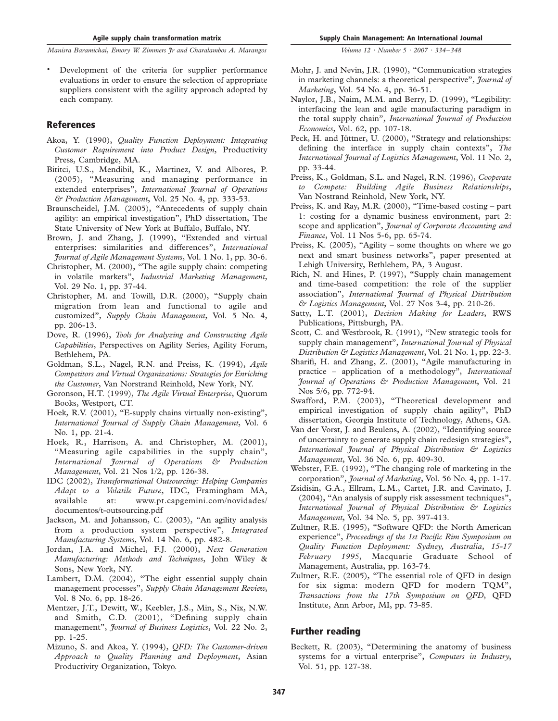. Development of the criteria for supplier performance evaluations in order to ensure the selection of appropriate suppliers consistent with the agility approach adopted by each company.

## **References**

- Akoa, Y. (1990), Quality Function Deployment: Integrating Customer Requirement into Product Design, Productivity Press, Cambridge, MA.
- Bititci, U.S., Mendibil, K., Martinez, V. and Albores, P. (2005), "Measuring and managing performance in extended enterprises", International Journal of Operations & Production Management, Vol. 25 No. 4, pp. 333-53.
- Braunscheidel, J.M. (2005), "Antecedents of supply chain agility: an empirical investigation", PhD dissertation, The State University of New York at Buffalo, Buffalo, NY.
- Brown, J. and Zhang, J. (1999), "Extended and virtual enterprises: similarities and differences", International Journal of Agile Management Systems, Vol. 1 No. 1, pp. 30-6.
- Christopher, M. (2000), "The agile supply chain: competing in volatile markets", Industrial Marketing Management, Vol. 29 No. 1, pp. 37-44.
- Christopher, M. and Towill, D.R. (2000), "Supply chain migration from lean and functional to agile and customized", Supply Chain Management, Vol. 5 No. 4, pp. 206-13.
- Dove, R. (1996), Tools for Analyzing and Constructing Agile Capabilities, Perspectives on Agility Series, Agility Forum, Bethlehem, PA.
- Goldman, S.L., Nagel, R.N. and Preiss, K. (1994), Agile Competitors and Virtual Organizations: Strategies for Enriching the Customer, Van Norstrand Reinhold, New York, NY.
- Goronson, H.T. (1999), The Agile Virtual Enterprise, Quorum Books, Westport, CT.
- Hoek, R.V. (2001), "E-supply chains virtually non-existing", International Journal of Supply Chain Management, Vol. 6 No. 1, pp. 21-4.
- Hoek, R., Harrison, A. and Christopher, M. (2001), "Measuring agile capabilities in the supply chain", International Journal of Operations & Production Management, Vol. 21 Nos 1/2, pp. 126-38.
- IDC (2002), Transformational Outsourcing: Helping Companies Adapt to a Volatile Future, IDC, Framingham MA, available at: www.pt.capgemini.com/novidades/ documentos/t-outsourcing.pdf
- Jackson, M. and Johansson, C. (2003), "An agility analysis from a production system perspective", Integrated Manufacturing Systems, Vol. 14 No. 6, pp. 482-8.
- Jordan, J.A. and Michel, F.J. (2000), Next Generation Manufacturing: Methods and Techniques, John Wiley & Sons, New York, NY.
- Lambert, D.M. (2004), "The eight essential supply chain management processes", Supply Chain Management Review, Vol. 8 No. 6, pp. 18-26.
- Mentzer, J.T., Dewitt, W., Keebler, J.S., Min, S., Nix, N.W. and Smith, C.D. (2001), "Defining supply chain management", *Journal of Business Logistics*, Vol. 22 No. 2, pp. 1-25.
- Mizuno, S. and Akoa, Y. (1994), QFD: The Customer-driven Approach to Quality Planning and Deployment, Asian Productivity Organization, Tokyo.
- Mohr, J. and Nevin, J.R. (1990), "Communication strategies in marketing channels: a theoretical perspective", *Journal of* Marketing, Vol. 54 No. 4, pp. 36-51.
- Naylor, J.B., Naim, M.M. and Berry, D. (1999), "Legibility: interfacing the lean and agile manufacturing paradigm in the total supply chain", International Journal of Production Economics, Vol. 62, pp. 107-18.
- Peck, H. and Jüttner, U. (2000), "Strategy and relationships: defining the interface in supply chain contexts", The International Journal of Logistics Management, Vol. 11 No. 2, pp. 33-44.
- Preiss, K., Goldman, S.L. and Nagel, R.N. (1996), Cooperate to Compete: Building Agile Business Relationships, Van Nostrand Reinhold, New York, NY.
- Preiss, K. and Ray, M.R. (2000), "Time-based costing part 1: costing for a dynamic business environment, part 2: scope and application", Journal of Corporate Accounting and Finance, Vol. 11 Nos 5-6, pp. 65-74.
- Preiss, K. (2005), "Agility some thoughts on where we go next and smart business networks", paper presented at Lehigh University, Bethlehem, PA, 3 August.
- Rich, N. and Hines, P. (1997), "Supply chain management and time-based competition: the role of the supplier association", International Journal of Physical Distribution & Logistics Management, Vol. 27 Nos 3-4, pp. 210-26.
- Satty, L.T. (2001), Decision Making for Leaders, RWS Publications, Pittsburgh, PA.
- Scott, C. and Westbrook, R. (1991), "New strategic tools for supply chain management", International Journal of Physical Distribution & Logistics Management, Vol. 21 No. 1, pp. 22-3.
- Sharifi, H. and Zhang, Z. (2001), "Agile manufacturing in practice – application of a methodology", International Journal of Operations & Production Management, Vol. 21 Nos 5/6, pp. 772-94.
- Swafford, P.M. (2003), "Theoretical development and empirical investigation of supply chain agility", PhD dissertation, Georgia Institute of Technology, Athens, GA.
- Van der Vorst, J. and Beulens, A. (2002), "Identifying source of uncertainty to generate supply chain redesign strategies", International Journal of Physical Distribution & Logistics Management, Vol. 36 No. 6, pp. 409-30.
- Webster, F.E. (1992), "The changing role of marketing in the corporation", *Journal of Marketing*, Vol. 56 No. 4, pp. 1-17.
- Zsidisin, G.A., Ellram, L.M., Cartet, J.R. and Cavinato, J. (2004), "An analysis of supply risk assessment techniques", International Journal of Physical Distribution & Logistics Management, Vol. 34 No. 5, pp. 397-413.
- Zultner, R.E. (1995), "Software QFD: the North American experience", Proceedings of the 1st Pacific Rim Symposium on Quality Function Deployment: Sydney, Australia, 15-17 February 1995, Macquarie Graduate School of Management, Australia, pp. 163-74.
- Zultner, R.E. (2005), "The essential role of QFD in design for six sigma: modern QFD for modern TQM", Transactions from the 17th Symposium on QFD, QFD Institute, Ann Arbor, MI, pp. 73-85.

## Further reading

Beckett, R. (2003), "Determining the anatomy of business systems for a virtual enterprise", Computers in Industry, Vol. 51, pp. 127-38.